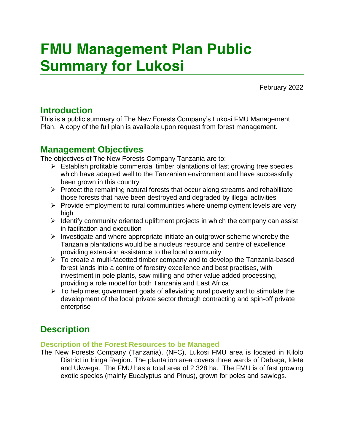# FMU Management Plan Public Summary for Lukosi

February 2022

## Introduction

This is a public summary of The New Forests Company's Lukosi FMU Management Plan. A copy of the full plan is available upon request from forest management.

## Management Objectives

The objectives of The New Forests Company Tanzania are to:

- $\triangleright$  Establish profitable commercial timber plantations of fast growing tree species which have adapted well to the Tanzanian environment and have successfully been grown in this country
- $\triangleright$  Protect the remaining natural forests that occur along streams and rehabilitate those forests that have been destroyed and degraded by illegal activities
- $\triangleright$  Provide employment to rural communities where unemployment levels are very high
- $\triangleright$  Identify community oriented upliftment projects in which the company can assist in facilitation and execution
- $\triangleright$  Investigate and where appropriate initiate an outgrower scheme whereby the Tanzania plantations would be a nucleus resource and centre of excellence providing extension assistance to the local community
- ➢ To create a multi-facetted timber company and to develop the Tanzania-based forest lands into a centre of forestry excellence and best practises, with investment in pole plants, saw milling and other value added processing, providing a role model for both Tanzania and East Africa
- ➢ To help meet government goals of alleviating rural poverty and to stimulate the development of the local private sector through contracting and spin-off private enterprise

## **Description**

## Description of the Forest Resources to be Managed

The New Forests Company (Tanzania), (NFC), Lukosi FMU area is located in Kilolo District in Iringa Region. The plantation area covers three wards of Dabaga, Idete and Ukwega. The FMU has a total area of 2 328 ha. The FMU is of fast growing exotic species (mainly *Eucalyptus* and *Pinus*), grown for poles and sawlogs.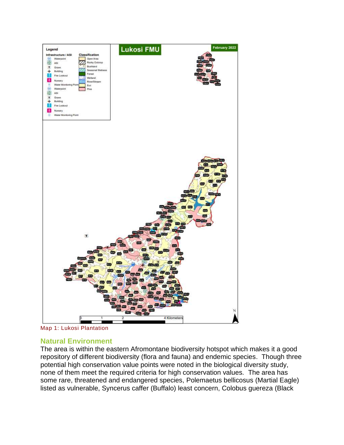

*Map 1: Lukosi Plantation*

## Natural Environment

The area is within the eastern Afromontane biodiversity hotspot which makes it a good repository of different biodiversity (flora and fauna) and endemic species. Though three potential high conservation value points were noted in the biological diversity study, none of them meet the required criteria for high conservation values. The area has some rare, threatened and endangered species, *Polemaetus bellicosus* (Martial Eagle) listed as vulnerable, *Syncerus caffer* (Buffalo) least concern, *Colobus guereza* (Black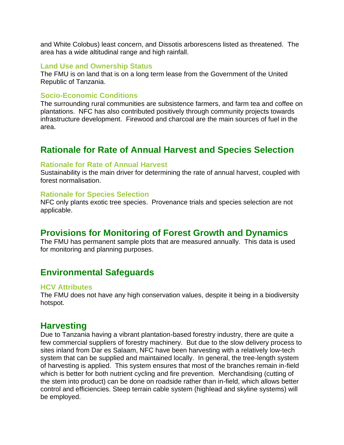and White Colobus) least concern, and *Dissotis arborescens* listed as threatened. The area has a wide altitudinal range and high rainfall.

#### Land Use and Ownership Status

The FMU is on land that is on a long term lease from the Government of the United Republic of Tanzania.

#### Socio-Economic Conditions

The surrounding rural communities are subsistence farmers, and farm tea and coffee on plantations. NFC has also contributed positively through community projects towards infrastructure development. Firewood and charcoal are the main sources of fuel in the area.

## Rationale for Rate of Annual Harvest and Species Selection

#### Rationale for Rate of Annual Harvest

Sustainability is the main driver for determining the rate of annual harvest, coupled with forest normalisation.

#### Rationale for Species Selection

NFC only plants exotic tree species. Provenance trials and species selection are not applicable.

## Provisions for Monitoring of Forest Growth and Dynamics

The FMU has permanent sample plots that are measured annually. This data is used for monitoring and planning purposes.

## Environmental Safeguards

#### HCV Attributes

The FMU does not have any high conservation values, despite it being in a biodiversity hotspot.

## **Harvesting**

Due to Tanzania having a vibrant plantation-based forestry industry, there are quite a few commercial suppliers of forestry machinery. But due to the slow delivery process to sites inland from Dar es Salaam, NFC have been harvesting with a relatively low-tech system that can be supplied and maintained locally. In general, the tree-length system of harvesting is applied. This system ensures that most of the branches remain in-field which is better for both nutrient cycling and fire prevention. Merchandising (cutting of the stem into product) can be done on roadside rather than in-field, which allows better control and efficiencies. Steep terrain cable system (highlead and skyline systems) will be employed.